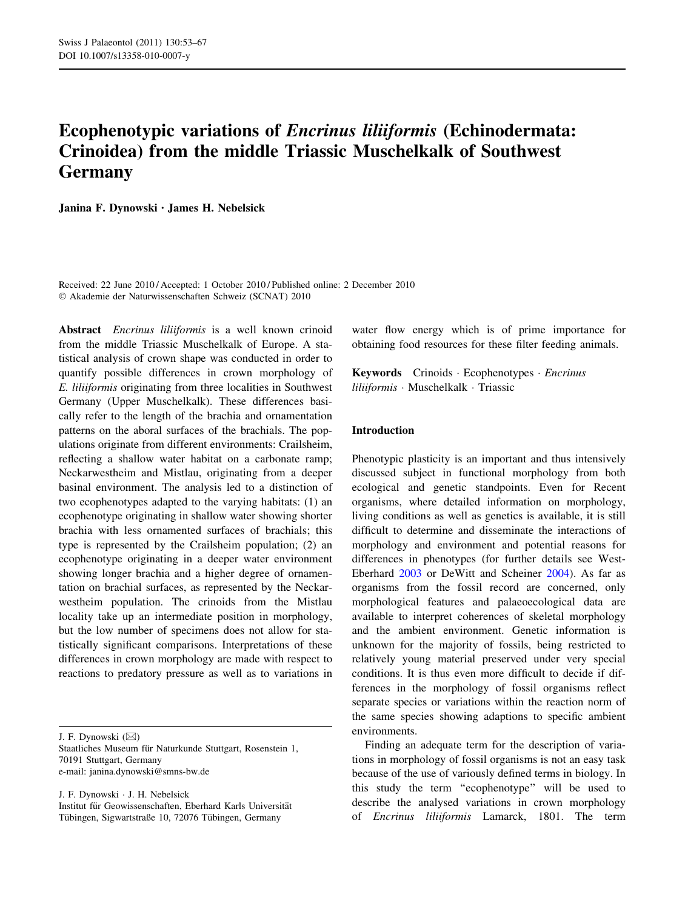# Ecophenotypic variations of Encrinus liliiformis (Echinodermata: Crinoidea) from the middle Triassic Muschelkalk of Southwest Germany

Janina F. Dynowski • James H. Nebelsick

Received: 22 June 2010 / Accepted: 1 October 2010 / Published online: 2 December 2010 - Akademie der Naturwissenschaften Schweiz (SCNAT) 2010

Abstract *Encrinus liliiformis* is a well known crinoid from the middle Triassic Muschelkalk of Europe. A statistical analysis of crown shape was conducted in order to quantify possible differences in crown morphology of E. liliiformis originating from three localities in Southwest Germany (Upper Muschelkalk). These differences basically refer to the length of the brachia and ornamentation patterns on the aboral surfaces of the brachials. The populations originate from different environments: Crailsheim, reflecting a shallow water habitat on a carbonate ramp; Neckarwestheim and Mistlau, originating from a deeper basinal environment. The analysis led to a distinction of two ecophenotypes adapted to the varying habitats: (1) an ecophenotype originating in shallow water showing shorter brachia with less ornamented surfaces of brachials; this type is represented by the Crailsheim population; (2) an ecophenotype originating in a deeper water environment showing longer brachia and a higher degree of ornamentation on brachial surfaces, as represented by the Neckarwestheim population. The crinoids from the Mistlau locality take up an intermediate position in morphology, but the low number of specimens does not allow for statistically significant comparisons. Interpretations of these differences in crown morphology are made with respect to reactions to predatory pressure as well as to variations in

J. F. Dynowski  $(\boxtimes)$ 

Staatliches Museum für Naturkunde Stuttgart, Rosenstein 1, 70191 Stuttgart, Germany e-mail: janina.dynowski@smns-bw.de

J. F. Dynowski - J. H. Nebelsick Institut für Geowissenschaften, Eberhard Karls Universität Tübingen, Sigwartstraße 10, 72076 Tübingen, Germany

water flow energy which is of prime importance for obtaining food resources for these filter feeding animals.

Keywords Crinoids · Ecophenotypes · Encrinus liliiformis · Muschelkalk · Triassic

# Introduction

Phenotypic plasticity is an important and thus intensively discussed subject in functional morphology from both ecological and genetic standpoints. Even for Recent organisms, where detailed information on morphology, living conditions as well as genetics is available, it is still difficult to determine and disseminate the interactions of morphology and environment and potential reasons for differences in phenotypes (for further details see West-Eberhard [2003](#page-14-0) or DeWitt and Scheiner [2004](#page-13-0)). As far as organisms from the fossil record are concerned, only morphological features and palaeoecological data are available to interpret coherences of skeletal morphology and the ambient environment. Genetic information is unknown for the majority of fossils, being restricted to relatively young material preserved under very special conditions. It is thus even more difficult to decide if differences in the morphology of fossil organisms reflect separate species or variations within the reaction norm of the same species showing adaptions to specific ambient environments.

Finding an adequate term for the description of variations in morphology of fossil organisms is not an easy task because of the use of variously defined terms in biology. In this study the term ''ecophenotype'' will be used to describe the analysed variations in crown morphology of Encrinus liliiformis Lamarck, 1801. The term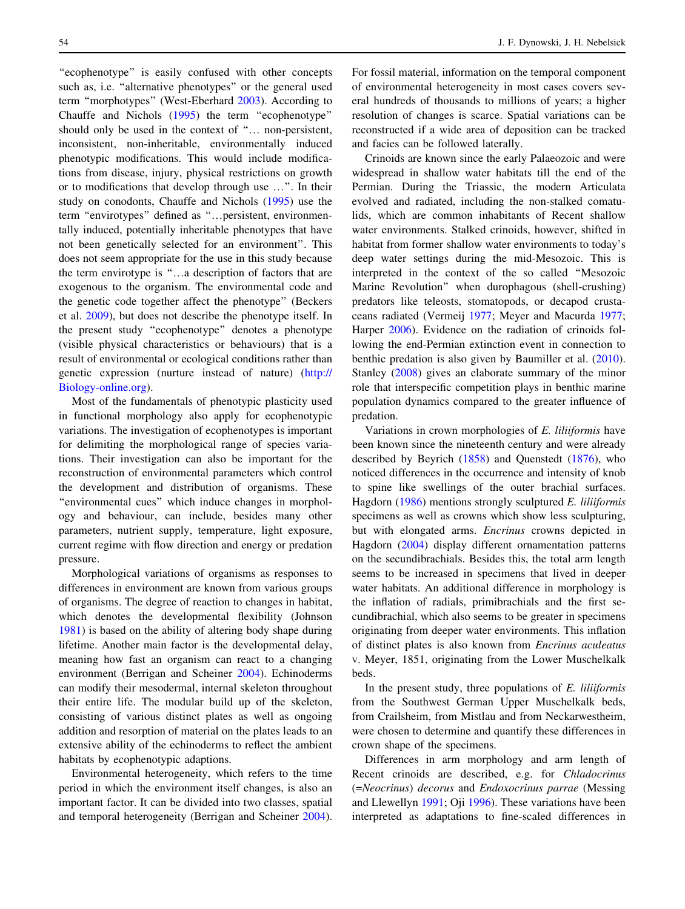''ecophenotype'' is easily confused with other concepts such as, i.e. "alternative phenotypes" or the general used term ''morphotypes'' (West-Eberhard [2003\)](#page-14-0). According to Chauffe and Nichols [\(1995](#page-13-0)) the term ''ecophenotype'' should only be used in the context of ''… non-persistent, inconsistent, non-inheritable, environmentally induced phenotypic modifications. This would include modifications from disease, injury, physical restrictions on growth or to modifications that develop through use …''. In their study on conodonts, Chauffe and Nichols [\(1995\)](#page-13-0) use the term ''envirotypes'' defined as ''…persistent, environmentally induced, potentially inheritable phenotypes that have not been genetically selected for an environment''. This does not seem appropriate for the use in this study because the term envirotype is ''…a description of factors that are exogenous to the organism. The environmental code and the genetic code together affect the phenotype'' (Beckers et al. [2009\)](#page-13-0), but does not describe the phenotype itself. In the present study ''ecophenotype'' denotes a phenotype (visible physical characteristics or behaviours) that is a result of environmental or ecological conditions rather than genetic expression (nurture instead of nature) [\(http://](http://Biology-online.org) [Biology-online.org](http://Biology-online.org)).

Most of the fundamentals of phenotypic plasticity used in functional morphology also apply for ecophenotypic variations. The investigation of ecophenotypes is important for delimiting the morphological range of species variations. Their investigation can also be important for the reconstruction of environmental parameters which control the development and distribution of organisms. These "environmental cues" which induce changes in morphology and behaviour, can include, besides many other parameters, nutrient supply, temperature, light exposure, current regime with flow direction and energy or predation pressure.

Morphological variations of organisms as responses to differences in environment are known from various groups of organisms. The degree of reaction to changes in habitat, which denotes the developmental flexibility (Johnson [1981\)](#page-13-0) is based on the ability of altering body shape during lifetime. Another main factor is the developmental delay, meaning how fast an organism can react to a changing environment (Berrigan and Scheiner [2004](#page-13-0)). Echinoderms can modify their mesodermal, internal skeleton throughout their entire life. The modular build up of the skeleton, consisting of various distinct plates as well as ongoing addition and resorption of material on the plates leads to an extensive ability of the echinoderms to reflect the ambient habitats by ecophenotypic adaptions.

Environmental heterogeneity, which refers to the time period in which the environment itself changes, is also an important factor. It can be divided into two classes, spatial and temporal heterogeneity (Berrigan and Scheiner [2004](#page-13-0)). For fossil material, information on the temporal component of environmental heterogeneity in most cases covers several hundreds of thousands to millions of years; a higher resolution of changes is scarce. Spatial variations can be reconstructed if a wide area of deposition can be tracked and facies can be followed laterally.

Crinoids are known since the early Palaeozoic and were widespread in shallow water habitats till the end of the Permian. During the Triassic, the modern Articulata evolved and radiated, including the non-stalked comatulids, which are common inhabitants of Recent shallow water environments. Stalked crinoids, however, shifted in habitat from former shallow water environments to today's deep water settings during the mid-Mesozoic. This is interpreted in the context of the so called ''Mesozoic Marine Revolution'' when durophagous (shell-crushing) predators like teleosts, stomatopods, or decapod crustaceans radiated (Vermeij [1977;](#page-14-0) Meyer and Macurda [1977](#page-13-0); Harper [2006](#page-13-0)). Evidence on the radiation of crinoids following the end-Permian extinction event in connection to benthic predation is also given by Baumiller et al. [\(2010](#page-13-0)). Stanley ([2008\)](#page-14-0) gives an elaborate summary of the minor role that interspecific competition plays in benthic marine population dynamics compared to the greater influence of predation.

Variations in crown morphologies of E. liliiformis have been known since the nineteenth century and were already described by Beyrich [\(1858](#page-13-0)) and Quenstedt ([1876\)](#page-13-0), who noticed differences in the occurrence and intensity of knob to spine like swellings of the outer brachial surfaces. Hagdorn [\(1986](#page-13-0)) mentions strongly sculptured E. liliiformis specimens as well as crowns which show less sculpturing, but with elongated arms. Encrinus crowns depicted in Hagdorn [\(2004](#page-13-0)) display different ornamentation patterns on the secundibrachials. Besides this, the total arm length seems to be increased in specimens that lived in deeper water habitats. An additional difference in morphology is the inflation of radials, primibrachials and the first secundibrachial, which also seems to be greater in specimens originating from deeper water environments. This inflation of distinct plates is also known from Encrinus aculeatus V. Meyer, 1851, originating from the Lower Muschelkalk beds.

In the present study, three populations of  $E$ . *liliiformis* from the Southwest German Upper Muschelkalk beds, from Crailsheim, from Mistlau and from Neckarwestheim, were chosen to determine and quantify these differences in crown shape of the specimens.

Differences in arm morphology and arm length of Recent crinoids are described, e.g. for Chladocrinus (=Neocrinus) decorus and Endoxocrinus parrae (Messing and Llewellyn [1991](#page-13-0); Oji [1996\)](#page-13-0). These variations have been interpreted as adaptations to fine-scaled differences in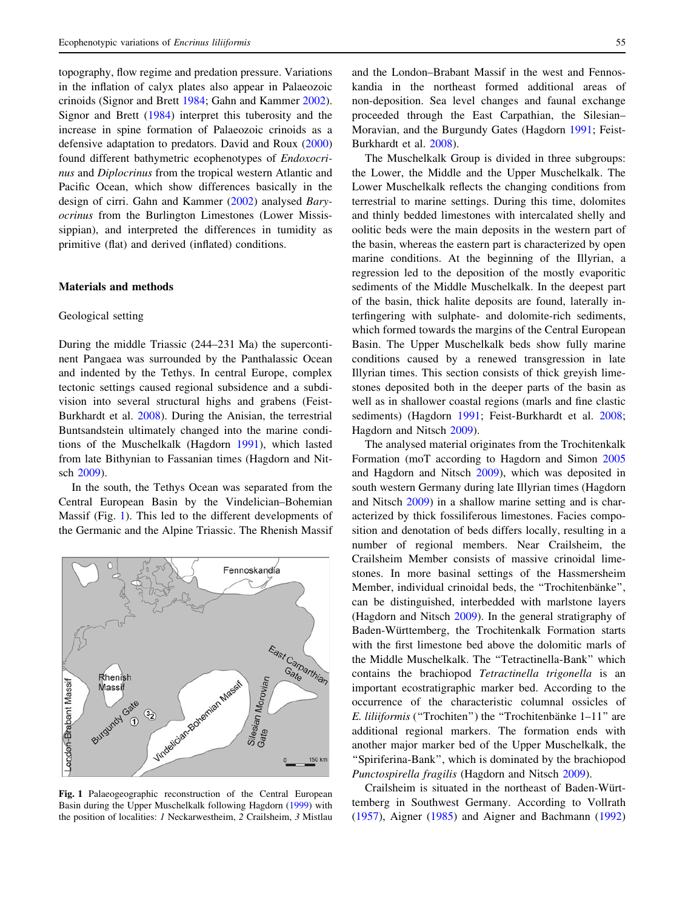topography, flow regime and predation pressure. Variations in the inflation of calyx plates also appear in Palaeozoic crinoids (Signor and Brett [1984;](#page-14-0) Gahn and Kammer [2002](#page-13-0)). Signor and Brett ([1984\)](#page-14-0) interpret this tuberosity and the increase in spine formation of Palaeozoic crinoids as a defensive adaptation to predators. David and Roux ([2000\)](#page-13-0) found different bathymetric ecophenotypes of Endoxocrinus and Diplocrinus from the tropical western Atlantic and Pacific Ocean, which show differences basically in the design of cirri. Gahn and Kammer ([2002\)](#page-13-0) analysed Baryocrinus from the Burlington Limestones (Lower Mississippian), and interpreted the differences in tumidity as primitive (flat) and derived (inflated) conditions.

#### Materials and methods

## Geological setting

During the middle Triassic (244–231 Ma) the supercontinent Pangaea was surrounded by the Panthalassic Ocean and indented by the Tethys. In central Europe, complex tectonic settings caused regional subsidence and a subdivision into several structural highs and grabens (Feist-Burkhardt et al. [2008\)](#page-13-0). During the Anisian, the terrestrial Buntsandstein ultimately changed into the marine conditions of the Muschelkalk (Hagdorn [1991\)](#page-13-0), which lasted from late Bithynian to Fassanian times (Hagdorn and Nitsch [2009\)](#page-13-0).

In the south, the Tethys Ocean was separated from the Central European Basin by the Vindelician–Bohemian Massif (Fig. 1). This led to the different developments of the Germanic and the Alpine Triassic. The Rhenish Massif



Fig. 1 Palaeogeographic reconstruction of the Central European Basin during the Upper Muschelkalk following Hagdorn ([1999\)](#page-13-0) with the position of localities: 1 Neckarwestheim, 2 Crailsheim, 3 Mistlau

and the London–Brabant Massif in the west and Fennoskandia in the northeast formed additional areas of non-deposition. Sea level changes and faunal exchange proceeded through the East Carpathian, the Silesian– Moravian, and the Burgundy Gates (Hagdorn [1991](#page-13-0); Feist-Burkhardt et al. [2008\)](#page-13-0).

The Muschelkalk Group is divided in three subgroups: the Lower, the Middle and the Upper Muschelkalk. The Lower Muschelkalk reflects the changing conditions from terrestrial to marine settings. During this time, dolomites and thinly bedded limestones with intercalated shelly and oolitic beds were the main deposits in the western part of the basin, whereas the eastern part is characterized by open marine conditions. At the beginning of the Illyrian, a regression led to the deposition of the mostly evaporitic sediments of the Middle Muschelkalk. In the deepest part of the basin, thick halite deposits are found, laterally interfingering with sulphate- and dolomite-rich sediments, which formed towards the margins of the Central European Basin. The Upper Muschelkalk beds show fully marine conditions caused by a renewed transgression in late Illyrian times. This section consists of thick greyish limestones deposited both in the deeper parts of the basin as well as in shallower coastal regions (marls and fine clastic sediments) (Hagdorn [1991;](#page-13-0) Feist-Burkhardt et al. [2008](#page-13-0); Hagdorn and Nitsch [2009\)](#page-13-0).

The analysed material originates from the Trochitenkalk Formation (moT according to Hagdorn and Simon [2005](#page-13-0) and Hagdorn and Nitsch [2009](#page-13-0)), which was deposited in south western Germany during late Illyrian times (Hagdorn and Nitsch [2009\)](#page-13-0) in a shallow marine setting and is characterized by thick fossiliferous limestones. Facies composition and denotation of beds differs locally, resulting in a number of regional members. Near Crailsheim, the Crailsheim Member consists of massive crinoidal limestones. In more basinal settings of the Hassmersheim Member, individual crinoidal beds, the "Trochitenbänke", can be distinguished, interbedded with marlstone layers (Hagdorn and Nitsch [2009](#page-13-0)). In the general stratigraphy of Baden-Württemberg, the Trochitenkalk Formation starts with the first limestone bed above the dolomitic marls of the Middle Muschelkalk. The ''Tetractinella-Bank'' which contains the brachiopod Tetractinella trigonella is an important ecostratigraphic marker bed. According to the occurrence of the characteristic columnal ossicles of E. liliiformis ("Trochiten") the "Trochitenbänke  $1-11$ " are additional regional markers. The formation ends with another major marker bed of the Upper Muschelkalk, the ''Spiriferina-Bank'', which is dominated by the brachiopod Punctospirella fragilis (Hagdorn and Nitsch [2009](#page-13-0)).

Crailsheim is situated in the northeast of Baden-Württemberg in Southwest Germany. According to Vollrath [\(1957](#page-14-0)), Aigner [\(1985](#page-13-0)) and Aigner and Bachmann ([1992\)](#page-13-0)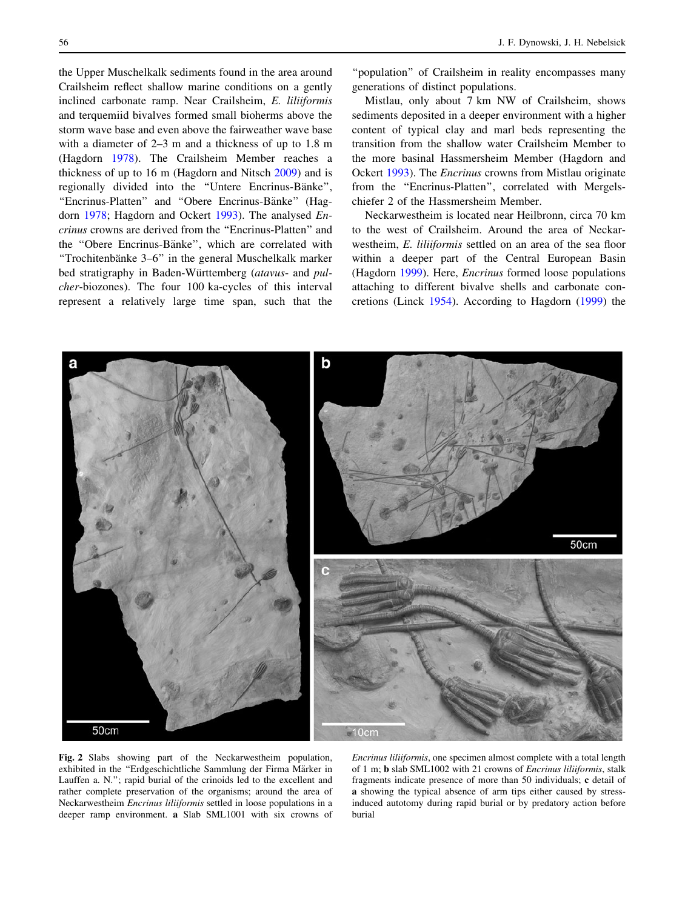<span id="page-3-0"></span>the Upper Muschelkalk sediments found in the area around Crailsheim reflect shallow marine conditions on a gently inclined carbonate ramp. Near Crailsheim, E. liliiformis and terquemiid bivalves formed small bioherms above the storm wave base and even above the fairweather wave base with a diameter of 2–3 m and a thickness of up to 1.8 m (Hagdorn [1978\)](#page-13-0). The Crailsheim Member reaches a thickness of up to 16 m (Hagdorn and Nitsch [2009\)](#page-13-0) and is regionally divided into the "Untere Encrinus-Bänke", "Encrinus-Platten" and "Obere Encrinus-Bänke" (Hagdorn [1978;](#page-13-0) Hagdorn and Ockert [1993](#page-13-0)). The analysed Encrinus crowns are derived from the ''Encrinus-Platten'' and the "Obere Encrinus-Bänke", which are correlated with ''Trochitenba¨nke 3–6'' in the general Muschelkalk marker bed stratigraphy in Baden-Württemberg (atavus- and pulcher-biozones). The four 100 ka-cycles of this interval represent a relatively large time span, such that the

''population'' of Crailsheim in reality encompasses many generations of distinct populations.

Mistlau, only about 7 km NW of Crailsheim, shows sediments deposited in a deeper environment with a higher content of typical clay and marl beds representing the transition from the shallow water Crailsheim Member to the more basinal Hassmersheim Member (Hagdorn and Ockert [1993](#page-13-0)). The Encrinus crowns from Mistlau originate from the ''Encrinus-Platten'', correlated with Mergelschiefer 2 of the Hassmersheim Member.

Neckarwestheim is located near Heilbronn, circa 70 km to the west of Crailsheim. Around the area of Neckarwestheim, E. liliiformis settled on an area of the sea floor within a deeper part of the Central European Basin (Hagdorn [1999\)](#page-13-0). Here, Encrinus formed loose populations attaching to different bivalve shells and carbonate concretions (Linck [1954](#page-13-0)). According to Hagdorn [\(1999](#page-13-0)) the



Fig. 2 Slabs showing part of the Neckarwestheim population, exhibited in the "Erdgeschichtliche Sammlung der Firma Märker in Lauffen a. N.''; rapid burial of the crinoids led to the excellent and rather complete preservation of the organisms; around the area of Neckarwestheim Encrinus liliiformis settled in loose populations in a deeper ramp environment. a Slab SML1001 with six crowns of

Encrinus liliiformis, one specimen almost complete with a total length of 1 m; b slab SML1002 with 21 crowns of Encrinus liliiformis, stalk fragments indicate presence of more than 50 individuals; c detail of a showing the typical absence of arm tips either caused by stressinduced autotomy during rapid burial or by predatory action before burial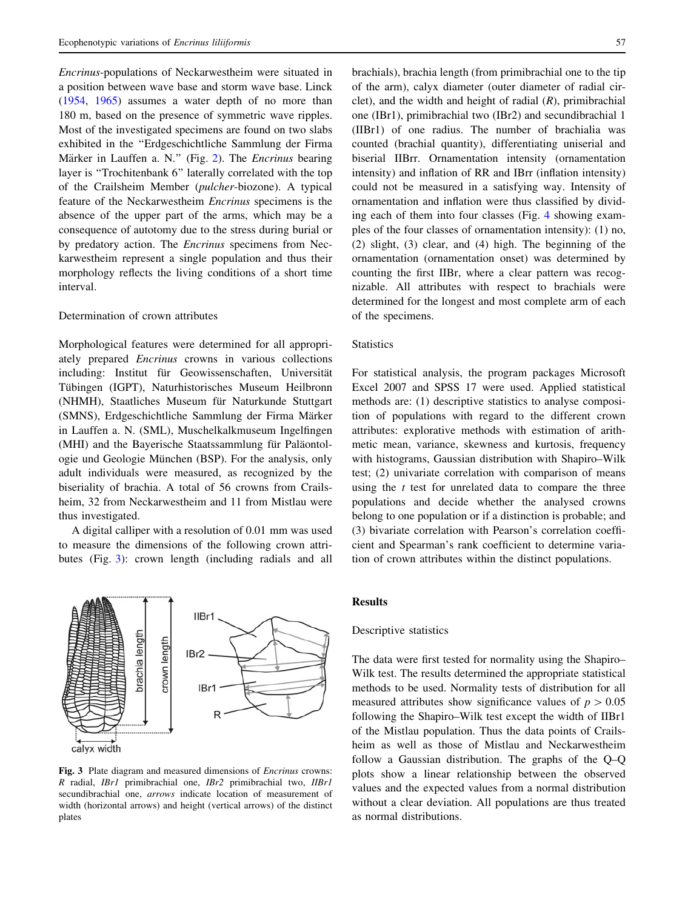Encrinus-populations of Neckarwestheim were situated in a position between wave base and storm wave base. Linck [\(1954](#page-13-0), [1965](#page-13-0)) assumes a water depth of no more than 180 m, based on the presence of symmetric wave ripples. Most of the investigated specimens are found on two slabs exhibited in the ''Erdgeschichtliche Sammlung der Firma Märker in Lauffen a. N." (Fig. [2\)](#page-3-0). The Encrinus bearing layer is "Trochitenbank 6" laterally correlated with the top of the Crailsheim Member (pulcher-biozone). A typical feature of the Neckarwestheim Encrinus specimens is the absence of the upper part of the arms, which may be a consequence of autotomy due to the stress during burial or by predatory action. The *Encrinus* specimens from Neckarwestheim represent a single population and thus their morphology reflects the living conditions of a short time interval.

#### Determination of crown attributes

Morphological features were determined for all appropriately prepared Encrinus crowns in various collections including: Institut für Geowissenschaften, Universität Tübingen (IGPT), Naturhistorisches Museum Heilbronn (NHMH), Staatliches Museum für Naturkunde Stuttgart (SMNS), Erdgeschichtliche Sammlung der Firma Märker in Lauffen a. N. (SML), Muschelkalkmuseum Ingelfingen (MHI) and the Bayerische Staatssammlung für Paläontologie und Geologie München (BSP). For the analysis, only adult individuals were measured, as recognized by the biseriality of brachia. A total of 56 crowns from Crailsheim, 32 from Neckarwestheim and 11 from Mistlau were thus investigated.

A digital calliper with a resolution of 0.01 mm was used to measure the dimensions of the following crown attributes (Fig. 3): crown length (including radials and all



Fig. 3 Plate diagram and measured dimensions of Encrinus crowns: R radial, IBr1 primibrachial one, IBr2 primibrachial two, IIBr1 secundibrachial one, arrows indicate location of measurement of width (horizontal arrows) and height (vertical arrows) of the distinct plates

brachials), brachia length (from primibrachial one to the tip of the arm), calyx diameter (outer diameter of radial circlet), and the width and height of radial  $(R)$ , primibrachial one (IBr1), primibrachial two (IBr2) and secundibrachial 1 (IIBr1) of one radius. The number of brachialia was counted (brachial quantity), differentiating uniserial and biserial IIBrr. Ornamentation intensity (ornamentation intensity) and inflation of RR and IBrr (inflation intensity) could not be measured in a satisfying way. Intensity of ornamentation and inflation were thus classified by dividing each of them into four classes (Fig. [4](#page-5-0) showing examples of the four classes of ornamentation intensity): (1) no, (2) slight, (3) clear, and (4) high. The beginning of the ornamentation (ornamentation onset) was determined by counting the first IIBr, where a clear pattern was recognizable. All attributes with respect to brachials were determined for the longest and most complete arm of each of the specimens.

# **Statistics**

For statistical analysis, the program packages Microsoft Excel 2007 and SPSS 17 were used. Applied statistical methods are: (1) descriptive statistics to analyse composition of populations with regard to the different crown attributes: explorative methods with estimation of arithmetic mean, variance, skewness and kurtosis, frequency with histograms, Gaussian distribution with Shapiro–Wilk test; (2) univariate correlation with comparison of means using the  $t$  test for unrelated data to compare the three populations and decide whether the analysed crowns belong to one population or if a distinction is probable; and (3) bivariate correlation with Pearson's correlation coefficient and Spearman's rank coefficient to determine variation of crown attributes within the distinct populations.

## Results

## Descriptive statistics

The data were first tested for normality using the Shapiro– Wilk test. The results determined the appropriate statistical methods to be used. Normality tests of distribution for all measured attributes show significance values of  $p > 0.05$ following the Shapiro–Wilk test except the width of IIBr1 of the Mistlau population. Thus the data points of Crailsheim as well as those of Mistlau and Neckarwestheim follow a Gaussian distribution. The graphs of the Q–Q plots show a linear relationship between the observed values and the expected values from a normal distribution without a clear deviation. All populations are thus treated as normal distributions.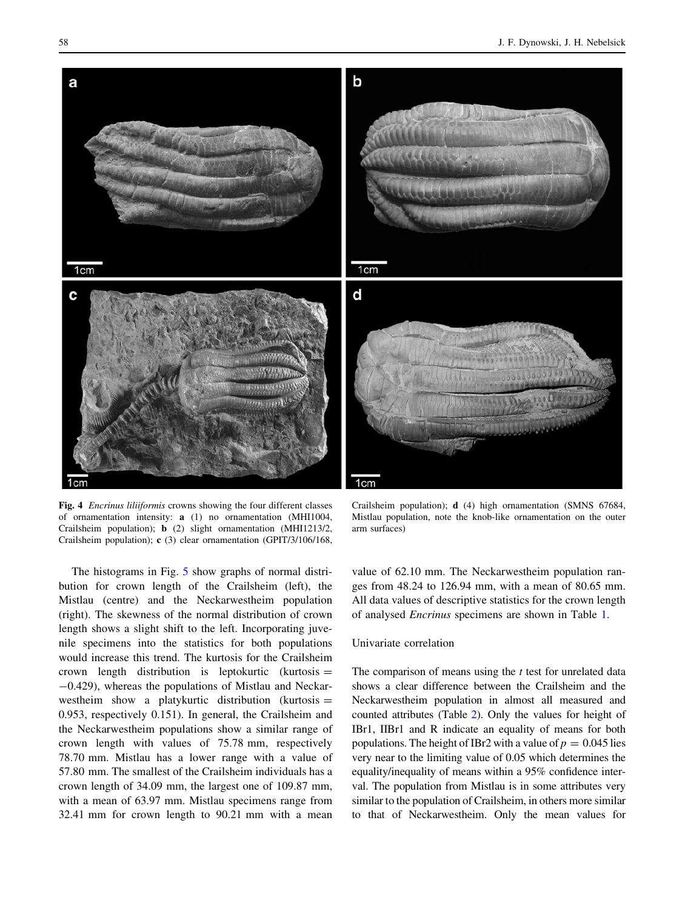<span id="page-5-0"></span>

Fig. 4 *Encrinus liliiformis* crowns showing the four different classes of ornamentation intensity: a (1) no ornamentation (MHI1004, Crailsheim population); b (2) slight ornamentation (MHI1213/2, Crailsheim population); c (3) clear ornamentation (GPIT/3/106/168,

The histograms in Fig. [5](#page-6-0) show graphs of normal distribution for crown length of the Crailsheim (left), the Mistlau (centre) and the Neckarwestheim population (right). The skewness of the normal distribution of crown length shows a slight shift to the left. Incorporating juvenile specimens into the statistics for both populations would increase this trend. The kurtosis for the Crailsheim crown length distribution is leptokurtic (kurtosis  $=$ -0.429), whereas the populations of Mistlau and Neckarwestheim show a platykurtic distribution (kurtosis  $=$ 0.953, respectively 0.151). In general, the Crailsheim and the Neckarwestheim populations show a similar range of crown length with values of 75.78 mm, respectively 78.70 mm. Mistlau has a lower range with a value of 57.80 mm. The smallest of the Crailsheim individuals has a crown length of 34.09 mm, the largest one of 109.87 mm, with a mean of 63.97 mm. Mistlau specimens range from 32.41 mm for crown length to 90.21 mm with a mean

Crailsheim population); d (4) high ornamentation (SMNS 67684, Mistlau population, note the knob-like ornamentation on the outer arm surfaces)

value of 62.10 mm. The Neckarwestheim population ranges from 48.24 to 126.94 mm, with a mean of 80.65 mm. All data values of descriptive statistics for the crown length of analysed Encrinus specimens are shown in Table [1.](#page-6-0)

# Univariate correlation

The comparison of means using the  $t$  test for unrelated data shows a clear difference between the Crailsheim and the Neckarwestheim population in almost all measured and counted attributes (Table [2\)](#page-7-0). Only the values for height of IBr1, IIBr1 and R indicate an equality of means for both populations. The height of IBr2 with a value of  $p = 0.045$  lies very near to the limiting value of 0.05 which determines the equality/inequality of means within a 95% confidence interval. The population from Mistlau is in some attributes very similar to the population of Crailsheim, in others more similar to that of Neckarwestheim. Only the mean values for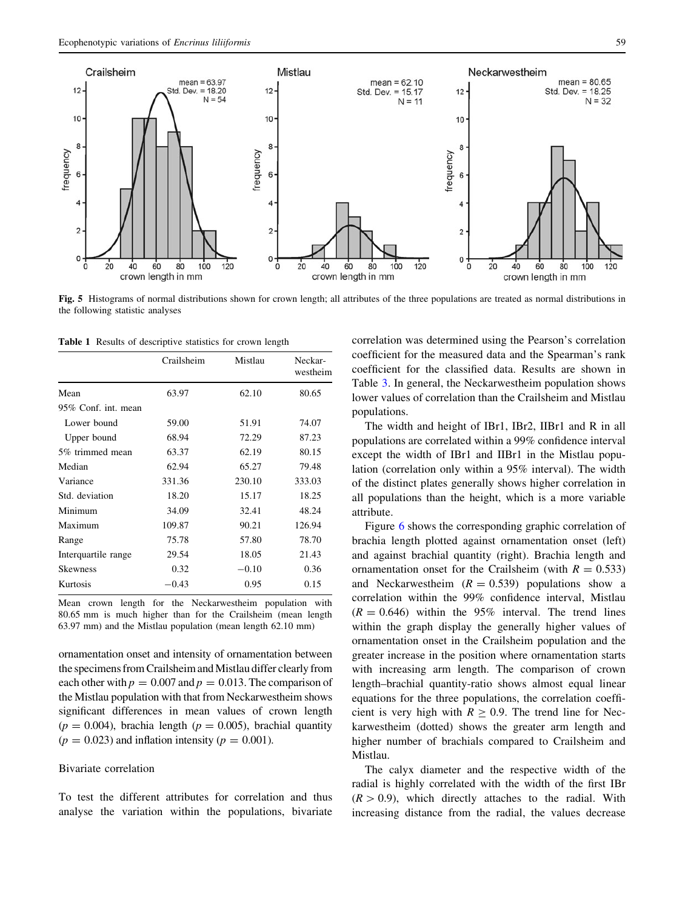

<span id="page-6-0"></span>

Fig. 5 Histograms of normal distributions shown for crown length; all attributes of the three populations are treated as normal distributions in the following statistic analyses

Table 1 Results of descriptive statistics for crown length

|                     | Crailsheim | Mistlau | Neckar-<br>westheim |
|---------------------|------------|---------|---------------------|
| Mean                | 63.97      | 62.10   | 80.65               |
| 95% Conf. int. mean |            |         |                     |
| Lower bound         | 59.00      | 51.91   | 74.07               |
| Upper bound         | 68.94      | 72.29   | 87.23               |
| 5% trimmed mean     | 63.37      | 62.19   | 80.15               |
| Median              | 62.94      | 65.27   | 79.48               |
| Variance            | 331.36     | 230.10  | 333.03              |
| Std. deviation      | 18.20      | 15.17   | 18.25               |
| Minimum             | 34.09      | 32.41   | 48.24               |
| Maximum             | 109.87     | 90.21   | 126.94              |
| Range               | 75.78      | 57.80   | 78.70               |
| Interquartile range | 29.54      | 18.05   | 21.43               |
| <b>Skewness</b>     | 0.32       | $-0.10$ | 0.36                |
| Kurtosis            | -0.43      | 0.95    | 0.15                |

Mean crown length for the Neckarwestheim population with 80.65 mm is much higher than for the Crailsheim (mean length 63.97 mm) and the Mistlau population (mean length 62.10 mm)

ornamentation onset and intensity of ornamentation between the specimens from Crailsheim and Mistlau differ clearly from each other with  $p = 0.007$  and  $p = 0.013$ . The comparison of the Mistlau population with that from Neckarwestheim shows significant differences in mean values of crown length  $(p = 0.004)$ , brachia length  $(p = 0.005)$ , brachial quantity  $(p = 0.023)$  and inflation intensity  $(p = 0.001)$ .

#### Bivariate correlation

To test the different attributes for correlation and thus analyse the variation within the populations, bivariate correlation was determined using the Pearson's correlation coefficient for the measured data and the Spearman's rank coefficient for the classified data. Results are shown in Table [3](#page-8-0). In general, the Neckarwestheim population shows lower values of correlation than the Crailsheim and Mistlau populations.

The width and height of IBr1, IBr2, IIBr1 and R in all populations are correlated within a 99% confidence interval except the width of IBr1 and IIBr1 in the Mistlau population (correlation only within a 95% interval). The width of the distinct plates generally shows higher correlation in all populations than the height, which is a more variable attribute.

Figure [6](#page-10-0) shows the corresponding graphic correlation of brachia length plotted against ornamentation onset (left) and against brachial quantity (right). Brachia length and ornamentation onset for the Crailsheim (with  $R = 0.533$ ) and Neckarwestheim  $(R = 0.539)$  populations show a correlation within the 99% confidence interval, Mistlau  $(R = 0.646)$  within the 95% interval. The trend lines within the graph display the generally higher values of ornamentation onset in the Crailsheim population and the greater increase in the position where ornamentation starts with increasing arm length. The comparison of crown length–brachial quantity-ratio shows almost equal linear equations for the three populations, the correlation coefficient is very high with  $R \ge 0.9$ . The trend line for Neckarwestheim (dotted) shows the greater arm length and higher number of brachials compared to Crailsheim and Mistlau.

The calyx diameter and the respective width of the radial is highly correlated with the width of the first IBr  $(R > 0.9)$ , which directly attaches to the radial. With increasing distance from the radial, the values decrease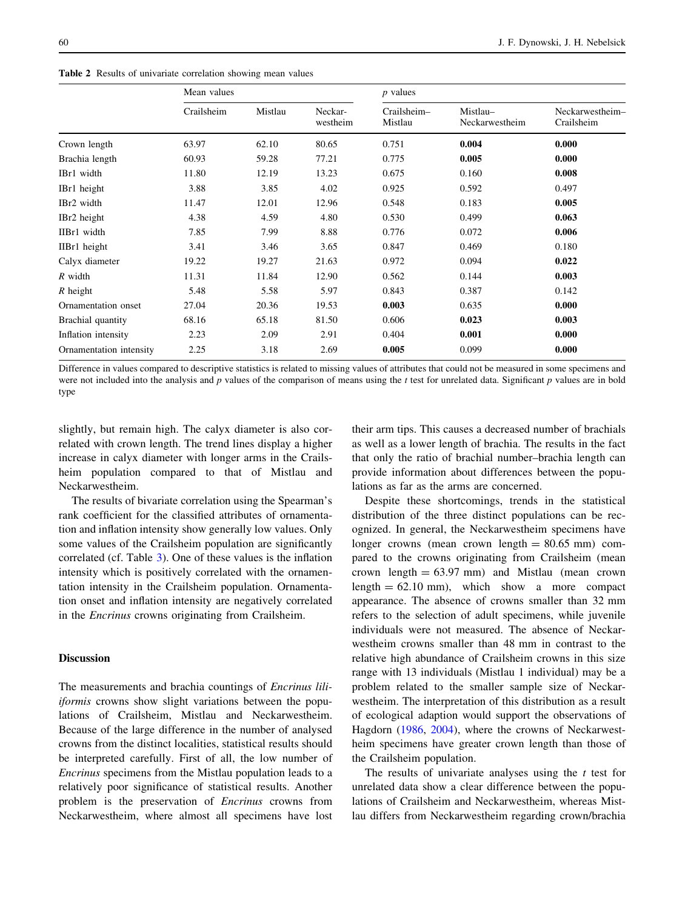<span id="page-7-0"></span>

|  |  |  |  | <b>Table 2</b> Results of univariate correlation showing mean values |  |  |  |
|--|--|--|--|----------------------------------------------------------------------|--|--|--|
|--|--|--|--|----------------------------------------------------------------------|--|--|--|

|                         | Mean values |         |                     | $p$ values             |                            |                               |
|-------------------------|-------------|---------|---------------------|------------------------|----------------------------|-------------------------------|
|                         | Crailsheim  | Mistlau | Neckar-<br>westheim | Crailsheim-<br>Mistlau | Mistlau-<br>Neckarwestheim | Neckarwestheim-<br>Crailsheim |
| Crown length            | 63.97       | 62.10   | 80.65               | 0.751                  | 0.004                      | 0.000                         |
| Brachia length          | 60.93       | 59.28   | 77.21               | 0.775                  | 0.005                      | 0.000                         |
| IBr1 width              | 11.80       | 12.19   | 13.23               | 0.675                  | 0.160                      | 0.008                         |
| IBr1 height             | 3.88        | 3.85    | 4.02                | 0.925                  | 0.592                      | 0.497                         |
| IBr <sub>2</sub> width  | 11.47       | 12.01   | 12.96               | 0.548                  | 0.183                      | 0.005                         |
| IBr2 height             | 4.38        | 4.59    | 4.80                | 0.530                  | 0.499                      | 0.063                         |
| IIBr1 width             | 7.85        | 7.99    | 8.88                | 0.776                  | 0.072                      | 0.006                         |
| IIBr1 height            | 3.41        | 3.46    | 3.65                | 0.847                  | 0.469                      | 0.180                         |
| Calyx diameter          | 19.22       | 19.27   | 21.63               | 0.972                  | 0.094                      | 0.022                         |
| R width                 | 11.31       | 11.84   | 12.90               | 0.562                  | 0.144                      | 0.003                         |
| R height                | 5.48        | 5.58    | 5.97                | 0.843                  | 0.387                      | 0.142                         |
| Ornamentation onset     | 27.04       | 20.36   | 19.53               | 0.003                  | 0.635                      | 0.000                         |
| Brachial quantity       | 68.16       | 65.18   | 81.50               | 0.606                  | 0.023                      | 0.003                         |
| Inflation intensity     | 2.23        | 2.09    | 2.91                | 0.404                  | 0.001                      | 0.000                         |
| Ornamentation intensity | 2.25        | 3.18    | 2.69                | 0.005                  | 0.099                      | 0.000                         |

Difference in values compared to descriptive statistics is related to missing values of attributes that could not be measured in some specimens and were not included into the analysis and  $p$  values of the comparison of means using the  $t$  test for unrelated data. Significant  $p$  values are in bold type

slightly, but remain high. The calyx diameter is also correlated with crown length. The trend lines display a higher increase in calyx diameter with longer arms in the Crailsheim population compared to that of Mistlau and Neckarwestheim.

The results of bivariate correlation using the Spearman's rank coefficient for the classified attributes of ornamentation and inflation intensity show generally low values. Only some values of the Crailsheim population are significantly correlated (cf. Table [3](#page-8-0)). One of these values is the inflation intensity which is positively correlated with the ornamentation intensity in the Crailsheim population. Ornamentation onset and inflation intensity are negatively correlated in the Encrinus crowns originating from Crailsheim.

# Discussion

The measurements and brachia countings of Encrinus liliiformis crowns show slight variations between the populations of Crailsheim, Mistlau and Neckarwestheim. Because of the large difference in the number of analysed crowns from the distinct localities, statistical results should be interpreted carefully. First of all, the low number of Encrinus specimens from the Mistlau population leads to a relatively poor significance of statistical results. Another problem is the preservation of Encrinus crowns from Neckarwestheim, where almost all specimens have lost their arm tips. This causes a decreased number of brachials as well as a lower length of brachia. The results in the fact that only the ratio of brachial number–brachia length can provide information about differences between the populations as far as the arms are concerned.

Despite these shortcomings, trends in the statistical distribution of the three distinct populations can be recognized. In general, the Neckarwestheim specimens have longer crowns (mean crown length  $= 80.65$  mm) compared to the crowns originating from Crailsheim (mean crown length  $= 63.97$  mm) and Mistlau (mean crown length  $= 62.10$  mm), which show a more compact appearance. The absence of crowns smaller than 32 mm refers to the selection of adult specimens, while juvenile individuals were not measured. The absence of Neckarwestheim crowns smaller than 48 mm in contrast to the relative high abundance of Crailsheim crowns in this size range with 13 individuals (Mistlau 1 individual) may be a problem related to the smaller sample size of Neckarwestheim. The interpretation of this distribution as a result of ecological adaption would support the observations of Hagdorn [\(1986](#page-13-0), [2004\)](#page-13-0), where the crowns of Neckarwestheim specimens have greater crown length than those of the Crailsheim population.

The results of univariate analyses using the  $t$  test for unrelated data show a clear difference between the populations of Crailsheim and Neckarwestheim, whereas Mistlau differs from Neckarwestheim regarding crown/brachia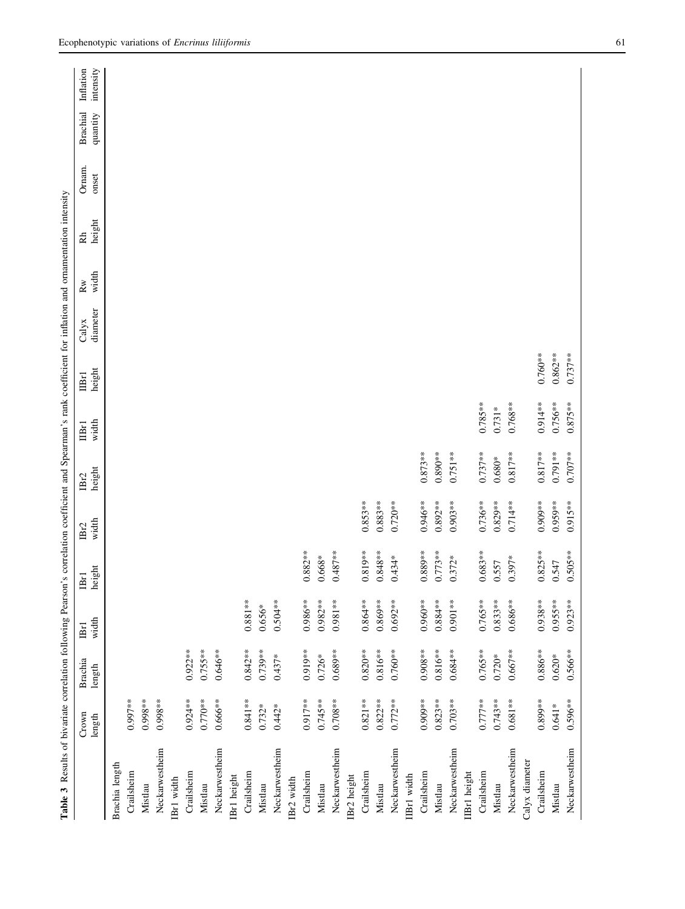<span id="page-8-0"></span>

| Table 3 Results of bivariate correlation following Pearson's correlation coefficient and Spearman's rank coefficient for inflation and ornamentation intensity |                 |                   |                      |                        |                          |                      |               |                        |                   |             |              |                 |                      |                        |
|----------------------------------------------------------------------------------------------------------------------------------------------------------------|-----------------|-------------------|----------------------|------------------------|--------------------------|----------------------|---------------|------------------------|-------------------|-------------|--------------|-----------------|----------------------|------------------------|
|                                                                                                                                                                | Crown<br>length | Brachia<br>length | width<br><b>IBrl</b> | height<br>$_{\rm Br1}$ | width<br>Br <sub>2</sub> | height<br><b>Br2</b> | width<br>IBr1 | height<br><b>IIBrl</b> | diameter<br>Calyx | width<br>Rw | height<br>Rh | Ornam.<br>onset | Brachial<br>quantity | intensity<br>Inflation |
| Brachia length                                                                                                                                                 |                 |                   |                      |                        |                          |                      |               |                        |                   |             |              |                 |                      |                        |
| Crailsheim                                                                                                                                                     | $0.997**$       |                   |                      |                        |                          |                      |               |                        |                   |             |              |                 |                      |                        |
| Mistlau                                                                                                                                                        | $0.998***$      |                   |                      |                        |                          |                      |               |                        |                   |             |              |                 |                      |                        |
| Neckarwestheim                                                                                                                                                 | $0.998**$       |                   |                      |                        |                          |                      |               |                        |                   |             |              |                 |                      |                        |
| IBr1 width                                                                                                                                                     |                 |                   |                      |                        |                          |                      |               |                        |                   |             |              |                 |                      |                        |
| Crailsheim                                                                                                                                                     | $0.924**$       | $0.922**$         |                      |                        |                          |                      |               |                        |                   |             |              |                 |                      |                        |
| Mistlau                                                                                                                                                        | $0.770**$       | $0.755***$        |                      |                        |                          |                      |               |                        |                   |             |              |                 |                      |                        |
| Neckarwestheim                                                                                                                                                 | $0.666**$       | $0.646**$         |                      |                        |                          |                      |               |                        |                   |             |              |                 |                      |                        |
| IBr1 height                                                                                                                                                    |                 |                   |                      |                        |                          |                      |               |                        |                   |             |              |                 |                      |                        |
| Crailsheim                                                                                                                                                     | $0.841**$       | $0.842***$        | $0.881**$            |                        |                          |                      |               |                        |                   |             |              |                 |                      |                        |
| Mistlau                                                                                                                                                        | $0.732*$        | $0.739***$        | $0.656*$             |                        |                          |                      |               |                        |                   |             |              |                 |                      |                        |
| Neckarwestheim                                                                                                                                                 | $0.442*$        | $0.437*$          | $0.504**$            |                        |                          |                      |               |                        |                   |             |              |                 |                      |                        |
| IBr <sub>2</sub> width                                                                                                                                         |                 |                   |                      |                        |                          |                      |               |                        |                   |             |              |                 |                      |                        |
| Crailsheim                                                                                                                                                     | $0.917**$       | $0.919**$         | $0.986**$            | $0.882***$             |                          |                      |               |                        |                   |             |              |                 |                      |                        |
| Mistlau                                                                                                                                                        | $0.745***$      | $0.726*$          | $0.982**$            | $0.668*$               |                          |                      |               |                        |                   |             |              |                 |                      |                        |
| Neckarwestheim                                                                                                                                                 | $0.708**$       | $0.689**$         | $0.981**$            | $0.487***$             |                          |                      |               |                        |                   |             |              |                 |                      |                        |
| IBr2 height                                                                                                                                                    |                 |                   |                      |                        |                          |                      |               |                        |                   |             |              |                 |                      |                        |
| Crailsheim                                                                                                                                                     | $0.821**$       | $0.820**$         | $0.864***$           | $0.819**$              | $0.853***$               |                      |               |                        |                   |             |              |                 |                      |                        |
| Mistlau                                                                                                                                                        | $0.822**$       | $0.816**$         | $0.869**$            | $0.848**$              | $0.883**$                |                      |               |                        |                   |             |              |                 |                      |                        |
| Neckarwestheim                                                                                                                                                 | $0.772**$       | $0.760**$         | $0.692**$            | $0.434*$               | $0.720***$               |                      |               |                        |                   |             |              |                 |                      |                        |
| IBr1 width                                                                                                                                                     |                 |                   |                      |                        |                          |                      |               |                        |                   |             |              |                 |                      |                        |
| Crailsheim                                                                                                                                                     | $0.909**$       | $0.908**$         | $0.960**$            | $0.889**$              | $0.946**$                | $0.873**$            |               |                        |                   |             |              |                 |                      |                        |
| Mistlau                                                                                                                                                        | $0.823**$       | $0.816**$         | $0.884***$           | $0.773**$              | $0.892***$               | $0.890**$            |               |                        |                   |             |              |                 |                      |                        |
| Neckarwestheim                                                                                                                                                 | $0.703**$       | $0.684**$         | $0.901**$            | $0.372*$               | $0.903**$                | $0.751***$           |               |                        |                   |             |              |                 |                      |                        |
| IBr1 height                                                                                                                                                    |                 |                   |                      |                        |                          |                      |               |                        |                   |             |              |                 |                      |                        |
| Crailsheim                                                                                                                                                     | $0.777**$       | $0.765***$        | $0.765***$           | $0.683**$              | $0.736***$               | $0.737***$           | $0.785***$    |                        |                   |             |              |                 |                      |                        |
| Mistlau                                                                                                                                                        | $0.743***$      | $0.720*$          | $0.833**$            | 0.557                  | $0.829**$                | $0.680*$             | $0.731*$      |                        |                   |             |              |                 |                      |                        |
| Neckarwestheim                                                                                                                                                 | $0.681***$      | $0.667***$        | $0.686**$            | $0.397*$               | $0.714**$                | $0.817**$            | $0.768**$     |                        |                   |             |              |                 |                      |                        |
| Calyx diameter                                                                                                                                                 |                 |                   |                      |                        |                          |                      |               |                        |                   |             |              |                 |                      |                        |
| Crailsheim                                                                                                                                                     | $0.899**$       | $0.886**$         | $0.938**$            | $0.825**$              | $0.909**$                | $0.817**$            | $0.914**$     | $0.760***$             |                   |             |              |                 |                      |                        |
| Mistlau                                                                                                                                                        | $0.641*$        | $0.620*$          | $0.955**$            | 0.547                  | $0.959**$                | $0.791**$            | $0.756**$     | $0.862***$             |                   |             |              |                 |                      |                        |
| Neckarwestheim                                                                                                                                                 | $0.596**$       | $0.566***$        | $0.923**$            | $0.505**$              | $0.915***$               | $0.707**$            | $0.875***$    | $0.737***$             |                   |             |              |                 |                      |                        |
|                                                                                                                                                                |                 |                   |                      |                        |                          |                      |               |                        |                   |             |              |                 |                      |                        |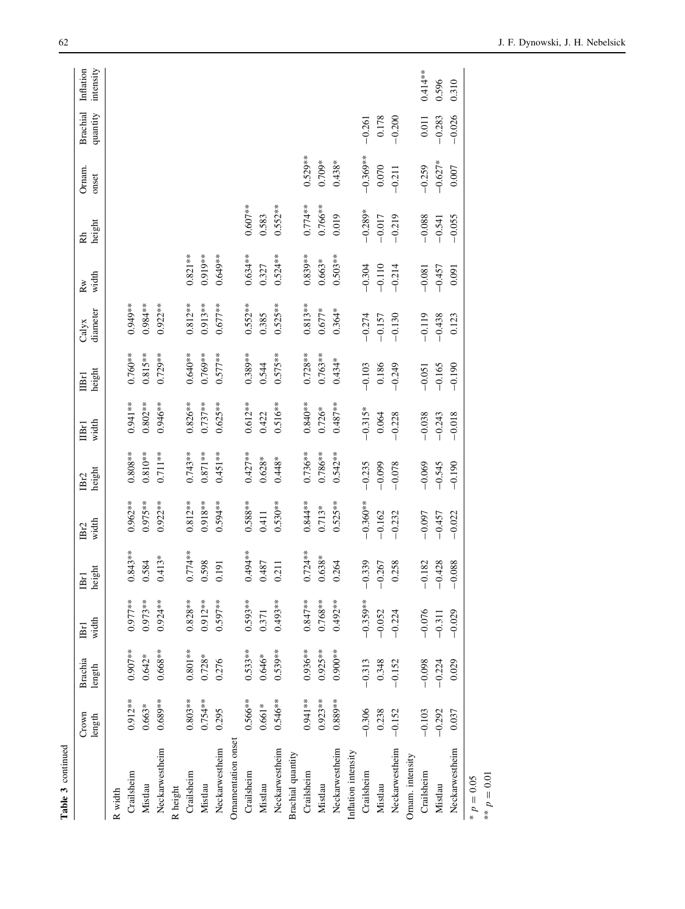| Table 3 continued   |                 |                   |                      |                      |                          |                            |                      |                       |                   |                        |              |                 |                             |                        |
|---------------------|-----------------|-------------------|----------------------|----------------------|--------------------------|----------------------------|----------------------|-----------------------|-------------------|------------------------|--------------|-----------------|-----------------------------|------------------------|
|                     | Crown<br>length | Brachia<br>length | width<br><b>IBrl</b> | height<br><b>Brl</b> | width<br>Br <sub>2</sub> | height<br>IBr <sub>2</sub> | width<br><b>IBrl</b> | height<br><b>IBrl</b> | diameter<br>Calyx | width<br>$\tilde{R}$ w | height<br>Rh | Ornam.<br>onset | <b>Brachial</b><br>quantity | Inflation<br>intensity |
| R width             |                 |                   |                      |                      |                          |                            |                      |                       |                   |                        |              |                 |                             |                        |
| Crailsheim          | $0.912***$      | $0.907***$        | $0.977***$           | $0.843**$            | $0.962**$                | $0.808^{**}$               | $0.941**$            | $0.760**$             | $0.949***$        |                        |              |                 |                             |                        |
| Mistlau             | 0.663*          | $0.642*$          | $0.973**$            | 0.584                | $0.975**$                | $0.810***$                 | $0.802**$            | $0.815***$            | $0.984***$        |                        |              |                 |                             |                        |
| Neckarwestheim      | $0.689**$       | $0.668**$         | $0.924**$            | 413*<br>$\circ$      | $0.922***$               | $0.711**$                  | $0.946**$            | $0.729***$            | $0.922**$         |                        |              |                 |                             |                        |
| R height            |                 |                   |                      |                      |                          |                            |                      |                       |                   |                        |              |                 |                             |                        |
| Crailsheim          | $0.803**$       | $0.801***$        | $0.828**$            | $0.774**$            | $0.812***$               | $0.743***$                 | $0.826**$            | $0.640**$             | $0.812***$        | $0.821***$             |              |                 |                             |                        |
| Mistlau             | $0.754**$       | $0.728*$          | $0.912***$           | 0.598                | $0.918***$               | $0.871***$                 | $0.737**$            | $0.769**$             | $0.913**$         | $0.919**$              |              |                 |                             |                        |
| Neckarwestheim      | 0.295           | 0.276             | $0.597**$            | 0.191                | $0.594***$               | $0.451***$                 | $0.625**$            | $0.577**$             | $0.677***$        | $0.649**$              |              |                 |                             |                        |
| Ornamentation onset |                 |                   |                      |                      |                          |                            |                      |                       |                   |                        |              |                 |                             |                        |
| Crailsheim          | $0.566**$       | $0.533***$        | $0.593***$           | $0.494**$            | $0.588***$               | $0.427***$                 | $0.612***$           | $0.389**$             | $0.552***$        | $0.634***$             | $0.607**$    |                 |                             |                        |
| Mistlau             | $0.661*$        | $0.646*$          | 0.371                | .487<br>$\circ$      | 0.411                    | $0.628*$                   | 0.422                | 0.544                 | 0.385             | 0.327                  | 0.583        |                 |                             |                        |
| Neckarwestheim      | $0.546**$       | $0.539**$         | $0.493**$            | 211<br>$\circ$       | $0.530***$               | $0.448*$                   | $0.516**$            | $0.575**$             | $0.525**$         | $0.524***$             | $0.552***$   |                 |                             |                        |
| Brachial quantity   |                 |                   |                      |                      |                          |                            |                      |                       |                   |                        |              |                 |                             |                        |
| Crailsheim          | 0.941 **        | $0.936**$         | $0.847***$           | $0.724***$           | $0.844**$                | $0.736***$                 | $0.840**$            | $0.728**$             | $0.813***$        | $0.839***$             | $0.774***$   | $0.529**$       |                             |                        |
| Mistlau             | $0.923**$       | $0.925**$         | $0.768**$            | $0.638*$             | $0.713*$                 | $0.786***$                 | $0.726*$             | $0.763**$             | $0.677*$          | $0.663*$               | $0.766***$   | $0.709*$        |                             |                        |
| Neckarwestheim      | $0.889**$       | $0.900**$         | $0.492***$           | 0.264                | $0.525***$               | $0.542**$                  | $0.487***$           | $0.434*$              | $0.364*$          | $0.503**$              | 0.019        | $0.438*$        |                             |                        |
| Inflation intensity |                 |                   |                      |                      |                          |                            |                      |                       |                   |                        |              |                 |                             |                        |
| Crailsheim          | $-0.306$        | $-0.313$          | $-0.359***$          | $-0.339$             | $-0.360***$              | $-0.235$                   | $-0.315*$            | $-0.103$              | $-0.274$          | $-0.304$               | $-0.289*$    | $-0.369***$     | $-0.261$                    |                        |
| Mistlau             | 0.238           | 0.348             | $-0.052$             | $-0.267$             | $-0.162$                 | $-0.099$                   | 0.064                | 0.186                 | $-0.157$          | $-0.110$               | $-0.017$     | 0.070           | 0.178                       |                        |
| Neckarwestheim      | $-0.152$        | $-0.152$          | $-0.224$             | 258<br>$\circ$       | $-0.232$                 | $-0.078$                   | $-0.228$             | $-0.249$              | $-0.130$          | $-0.214$               | $-0.219$     | $-0.211$        | $-0.200$                    |                        |
| Ornam. intensity    |                 |                   |                      |                      |                          |                            |                      |                       |                   |                        |              |                 |                             |                        |
| Crailsheim          | $-0.103$        | $-0.098$          | $-0.076$             | $-0.182$             | $-0.097$                 | $-0.069$                   | $-0.038$             | $-0.051$              | $-0.119$          | $-0.081$               | $-0.088$     | $-0.259$        | 0.011                       | $0.414**$              |
| Mistlau             | $-0.292$        | $-0.224$          | $-0.311$             | $-0.428$             | $-0.457$                 | $-0.545$                   | $-0.243$             | $-0.165$              | $-0.438$          | $-0.457$               | $-0.541$     | $-0.627*$       | $-0.283$                    | 0.596                  |
| Neckarwestheim      | 0.037           | 0.029             | $-0.029$             | $-0.088$             | $-0.022$                 | $-0.190$                   | $-0.018$             | $-0.190$              | 0.123             | 0.091                  | $-0.055$     | 0.007           | $-0.026$                    | 0.310                  |
| * $p = 0.05$        |                 |                   |                      |                      |                          |                            |                      |                       |                   |                        |              |                 |                             |                        |
| 10.01               |                 |                   |                      |                      |                          |                            |                      |                       |                   |                        |              |                 |                             |                        |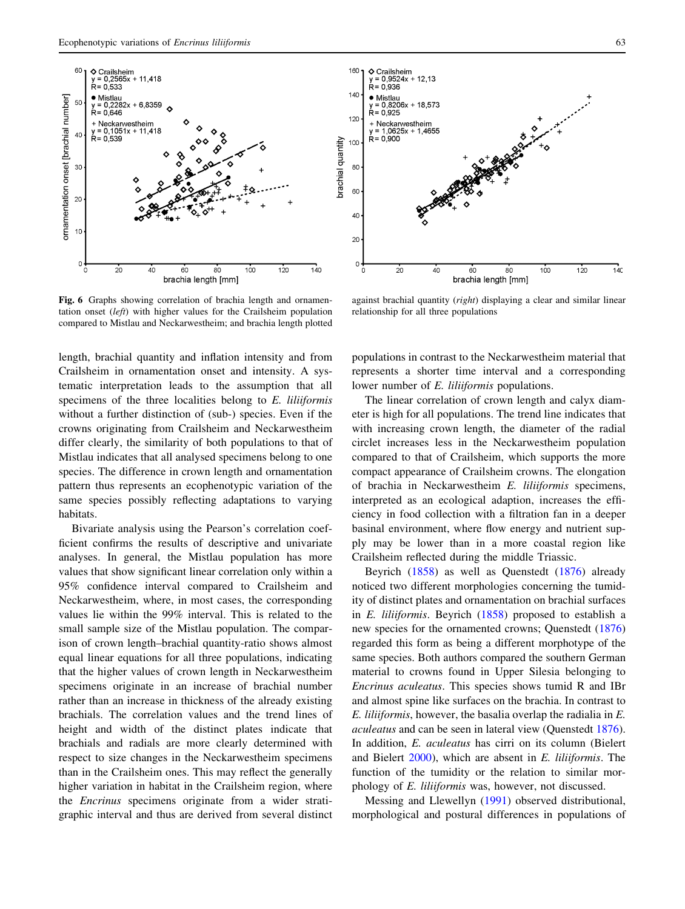<span id="page-10-0"></span>

160  $\diamond$  Crailsheim<br>y = 0,9524x + 12,13  $R = 0.936$ 140  $\bullet$  Mistlau  $= 0.8206x + 18.573$  $R = 0.925$ 120 + Neckarwestheim<br>y = 1,0625x + 1,4655  $R = 0,900$ 100 brachial quantity 80 60 40 20  $\circ \frac{1}{6}$  $20$  $40$  $60$  $80$  $100$  $120$ 140 brachia length [mm]

Fig. 6 Graphs showing correlation of brachia length and ornamentation onset (left) with higher values for the Crailsheim population compared to Mistlau and Neckarwestheim; and brachia length plotted

against brachial quantity (right) displaying a clear and similar linear relationship for all three populations

length, brachial quantity and inflation intensity and from Crailsheim in ornamentation onset and intensity. A systematic interpretation leads to the assumption that all specimens of the three localities belong to  $E$ . *liliiformis* without a further distinction of (sub-) species. Even if the crowns originating from Crailsheim and Neckarwestheim differ clearly, the similarity of both populations to that of Mistlau indicates that all analysed specimens belong to one species. The difference in crown length and ornamentation pattern thus represents an ecophenotypic variation of the same species possibly reflecting adaptations to varying habitats.

Bivariate analysis using the Pearson's correlation coefficient confirms the results of descriptive and univariate analyses. In general, the Mistlau population has more values that show significant linear correlation only within a 95% confidence interval compared to Crailsheim and Neckarwestheim, where, in most cases, the corresponding values lie within the 99% interval. This is related to the small sample size of the Mistlau population. The comparison of crown length–brachial quantity-ratio shows almost equal linear equations for all three populations, indicating that the higher values of crown length in Neckarwestheim specimens originate in an increase of brachial number rather than an increase in thickness of the already existing brachials. The correlation values and the trend lines of height and width of the distinct plates indicate that brachials and radials are more clearly determined with respect to size changes in the Neckarwestheim specimens than in the Crailsheim ones. This may reflect the generally higher variation in habitat in the Crailsheim region, where the Encrinus specimens originate from a wider stratigraphic interval and thus are derived from several distinct populations in contrast to the Neckarwestheim material that represents a shorter time interval and a corresponding lower number of E. liliiformis populations.

The linear correlation of crown length and calyx diameter is high for all populations. The trend line indicates that with increasing crown length, the diameter of the radial circlet increases less in the Neckarwestheim population compared to that of Crailsheim, which supports the more compact appearance of Crailsheim crowns. The elongation of brachia in Neckarwestheim E. liliiformis specimens, interpreted as an ecological adaption, increases the efficiency in food collection with a filtration fan in a deeper basinal environment, where flow energy and nutrient supply may be lower than in a more coastal region like Crailsheim reflected during the middle Triassic.

Beyrich ([1858\)](#page-13-0) as well as Quenstedt ([1876\)](#page-13-0) already noticed two different morphologies concerning the tumidity of distinct plates and ornamentation on brachial surfaces in E. liliiformis. Beyrich [\(1858](#page-13-0)) proposed to establish a new species for the ornamented crowns; Quenstedt ([1876\)](#page-13-0) regarded this form as being a different morphotype of the same species. Both authors compared the southern German material to crowns found in Upper Silesia belonging to Encrinus aculeatus. This species shows tumid R and IBr and almost spine like surfaces on the brachia. In contrast to E. liliiformis, however, the basalia overlap the radialia in E. aculeatus and can be seen in lateral view (Quenstedt [1876](#page-13-0)). In addition, E. aculeatus has cirri on its column (Bielert and Bielert [2000\)](#page-13-0), which are absent in E. liliiformis. The function of the tumidity or the relation to similar morphology of E. liliiformis was, however, not discussed.

Messing and Llewellyn [\(1991](#page-13-0)) observed distributional, morphological and postural differences in populations of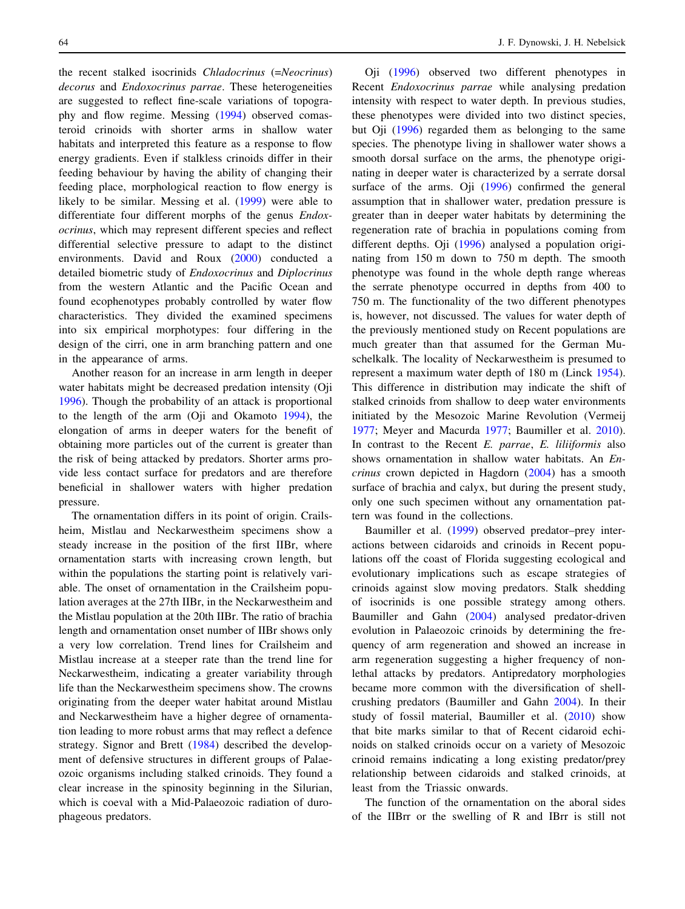the recent stalked isocrinids Chladocrinus (=Neocrinus) decorus and Endoxocrinus parrae. These heterogeneities are suggested to reflect fine-scale variations of topography and flow regime. Messing ([1994\)](#page-13-0) observed comasteroid crinoids with shorter arms in shallow water habitats and interpreted this feature as a response to flow energy gradients. Even if stalkless crinoids differ in their feeding behaviour by having the ability of changing their feeding place, morphological reaction to flow energy is likely to be similar. Messing et al. ([1999\)](#page-13-0) were able to differentiate four different morphs of the genus *Endox*ocrinus, which may represent different species and reflect differential selective pressure to adapt to the distinct environments. David and Roux [\(2000](#page-13-0)) conducted a detailed biometric study of Endoxocrinus and Diplocrinus from the western Atlantic and the Pacific Ocean and found ecophenotypes probably controlled by water flow characteristics. They divided the examined specimens into six empirical morphotypes: four differing in the design of the cirri, one in arm branching pattern and one in the appearance of arms.

Another reason for an increase in arm length in deeper water habitats might be decreased predation intensity (Oji [1996\)](#page-13-0). Though the probability of an attack is proportional to the length of the arm (Oji and Okamoto [1994\)](#page-13-0), the elongation of arms in deeper waters for the benefit of obtaining more particles out of the current is greater than the risk of being attacked by predators. Shorter arms provide less contact surface for predators and are therefore beneficial in shallower waters with higher predation pressure.

The ornamentation differs in its point of origin. Crailsheim, Mistlau and Neckarwestheim specimens show a steady increase in the position of the first IIBr, where ornamentation starts with increasing crown length, but within the populations the starting point is relatively variable. The onset of ornamentation in the Crailsheim population averages at the 27th IIBr, in the Neckarwestheim and the Mistlau population at the 20th IIBr. The ratio of brachia length and ornamentation onset number of IIBr shows only a very low correlation. Trend lines for Crailsheim and Mistlau increase at a steeper rate than the trend line for Neckarwestheim, indicating a greater variability through life than the Neckarwestheim specimens show. The crowns originating from the deeper water habitat around Mistlau and Neckarwestheim have a higher degree of ornamentation leading to more robust arms that may reflect a defence strategy. Signor and Brett [\(1984](#page-14-0)) described the development of defensive structures in different groups of Palaeozoic organisms including stalked crinoids. They found a clear increase in the spinosity beginning in the Silurian, which is coeval with a Mid-Palaeozoic radiation of durophageous predators.

Oji ([1996\)](#page-13-0) observed two different phenotypes in Recent Endoxocrinus parrae while analysing predation intensity with respect to water depth. In previous studies, these phenotypes were divided into two distinct species, but Oji [\(1996](#page-13-0)) regarded them as belonging to the same species. The phenotype living in shallower water shows a smooth dorsal surface on the arms, the phenotype originating in deeper water is characterized by a serrate dorsal surface of the arms. Oji ([1996\)](#page-13-0) confirmed the general assumption that in shallower water, predation pressure is greater than in deeper water habitats by determining the regeneration rate of brachia in populations coming from different depths. Oji ([1996\)](#page-13-0) analysed a population originating from 150 m down to 750 m depth. The smooth phenotype was found in the whole depth range whereas the serrate phenotype occurred in depths from 400 to 750 m. The functionality of the two different phenotypes is, however, not discussed. The values for water depth of the previously mentioned study on Recent populations are much greater than that assumed for the German Muschelkalk. The locality of Neckarwestheim is presumed to represent a maximum water depth of 180 m (Linck [1954](#page-13-0)). This difference in distribution may indicate the shift of stalked crinoids from shallow to deep water environments initiated by the Mesozoic Marine Revolution (Vermeij [1977](#page-14-0); Meyer and Macurda [1977;](#page-13-0) Baumiller et al. [2010](#page-13-0)). In contrast to the Recent E. parrae, E. liliiformis also shows ornamentation in shallow water habitats. An Encrinus crown depicted in Hagdorn ([2004\)](#page-13-0) has a smooth surface of brachia and calyx, but during the present study, only one such specimen without any ornamentation pattern was found in the collections.

Baumiller et al. [\(1999](#page-13-0)) observed predator–prey interactions between cidaroids and crinoids in Recent populations off the coast of Florida suggesting ecological and evolutionary implications such as escape strategies of crinoids against slow moving predators. Stalk shedding of isocrinids is one possible strategy among others. Baumiller and Gahn [\(2004](#page-13-0)) analysed predator-driven evolution in Palaeozoic crinoids by determining the frequency of arm regeneration and showed an increase in arm regeneration suggesting a higher frequency of nonlethal attacks by predators. Antipredatory morphologies became more common with the diversification of shellcrushing predators (Baumiller and Gahn [2004\)](#page-13-0). In their study of fossil material, Baumiller et al. [\(2010](#page-13-0)) show that bite marks similar to that of Recent cidaroid echinoids on stalked crinoids occur on a variety of Mesozoic crinoid remains indicating a long existing predator/prey relationship between cidaroids and stalked crinoids, at least from the Triassic onwards.

The function of the ornamentation on the aboral sides of the IIBrr or the swelling of R and IBrr is still not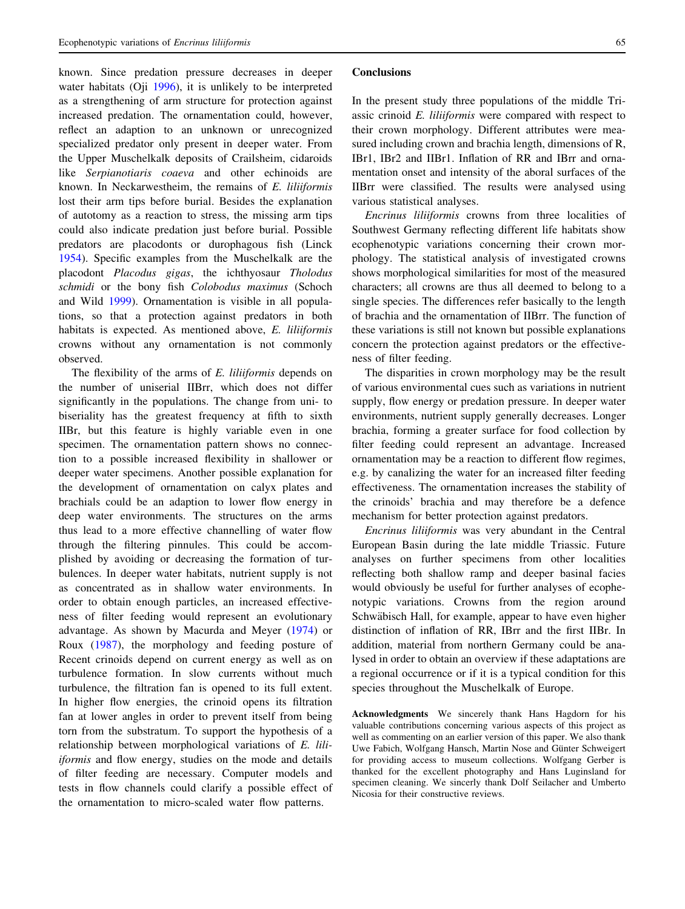known. Since predation pressure decreases in deeper water habitats (Oji [1996\)](#page-13-0), it is unlikely to be interpreted as a strengthening of arm structure for protection against increased predation. The ornamentation could, however, reflect an adaption to an unknown or unrecognized specialized predator only present in deeper water. From the Upper Muschelkalk deposits of Crailsheim, cidaroids like Serpianotiaris coaeva and other echinoids are known. In Neckarwestheim, the remains of E. liliiformis lost their arm tips before burial. Besides the explanation of autotomy as a reaction to stress, the missing arm tips could also indicate predation just before burial. Possible predators are placodonts or durophagous fish (Linck [1954\)](#page-13-0). Specific examples from the Muschelkalk are the placodont Placodus gigas, the ichthyosaur Tholodus schmidi or the bony fish Colobodus maximus (Schoch and Wild [1999](#page-13-0)). Ornamentation is visible in all populations, so that a protection against predators in both habitats is expected. As mentioned above, E. liliiformis crowns without any ornamentation is not commonly observed.

The flexibility of the arms of E. liliiformis depends on the number of uniserial IIBrr, which does not differ significantly in the populations. The change from uni- to biseriality has the greatest frequency at fifth to sixth IIBr, but this feature is highly variable even in one specimen. The ornamentation pattern shows no connection to a possible increased flexibility in shallower or deeper water specimens. Another possible explanation for the development of ornamentation on calyx plates and brachials could be an adaption to lower flow energy in deep water environments. The structures on the arms thus lead to a more effective channelling of water flow through the filtering pinnules. This could be accomplished by avoiding or decreasing the formation of turbulences. In deeper water habitats, nutrient supply is not as concentrated as in shallow water environments. In order to obtain enough particles, an increased effectiveness of filter feeding would represent an evolutionary advantage. As shown by Macurda and Meyer ([1974\)](#page-13-0) or Roux [\(1987](#page-13-0)), the morphology and feeding posture of Recent crinoids depend on current energy as well as on turbulence formation. In slow currents without much turbulence, the filtration fan is opened to its full extent. In higher flow energies, the crinoid opens its filtration fan at lower angles in order to prevent itself from being torn from the substratum. To support the hypothesis of a relationship between morphological variations of E. liliiformis and flow energy, studies on the mode and details of filter feeding are necessary. Computer models and tests in flow channels could clarify a possible effect of the ornamentation to micro-scaled water flow patterns.

#### **Conclusions**

In the present study three populations of the middle Triassic crinoid E. liliiformis were compared with respect to their crown morphology. Different attributes were measured including crown and brachia length, dimensions of R, IBr1, IBr2 and IIBr1. Inflation of RR and IBrr and ornamentation onset and intensity of the aboral surfaces of the IIBrr were classified. The results were analysed using various statistical analyses.

Encrinus liliiformis crowns from three localities of Southwest Germany reflecting different life habitats show ecophenotypic variations concerning their crown morphology. The statistical analysis of investigated crowns shows morphological similarities for most of the measured characters; all crowns are thus all deemed to belong to a single species. The differences refer basically to the length of brachia and the ornamentation of IIBrr. The function of these variations is still not known but possible explanations concern the protection against predators or the effectiveness of filter feeding.

The disparities in crown morphology may be the result of various environmental cues such as variations in nutrient supply, flow energy or predation pressure. In deeper water environments, nutrient supply generally decreases. Longer brachia, forming a greater surface for food collection by filter feeding could represent an advantage. Increased ornamentation may be a reaction to different flow regimes, e.g. by canalizing the water for an increased filter feeding effectiveness. The ornamentation increases the stability of the crinoids' brachia and may therefore be a defence mechanism for better protection against predators.

Encrinus liliiformis was very abundant in the Central European Basin during the late middle Triassic. Future analyses on further specimens from other localities reflecting both shallow ramp and deeper basinal facies would obviously be useful for further analyses of ecophenotypic variations. Crowns from the region around Schwäbisch Hall, for example, appear to have even higher distinction of inflation of RR, IBrr and the first IIBr. In addition, material from northern Germany could be analysed in order to obtain an overview if these adaptations are a regional occurrence or if it is a typical condition for this species throughout the Muschelkalk of Europe.

Acknowledgments We sincerely thank Hans Hagdorn for his valuable contributions concerning various aspects of this project as well as commenting on an earlier version of this paper. We also thank Uwe Fabich, Wolfgang Hansch, Martin Nose and Günter Schweigert for providing access to museum collections. Wolfgang Gerber is thanked for the excellent photography and Hans Luginsland for specimen cleaning. We sincerly thank Dolf Seilacher and Umberto Nicosia for their constructive reviews.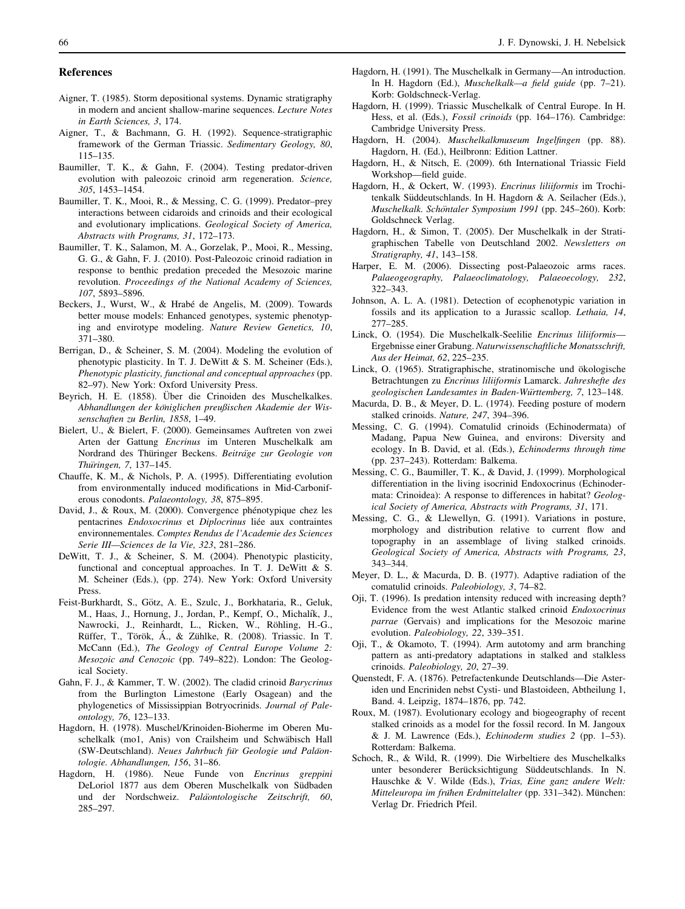#### <span id="page-13-0"></span>References

- Aigner, T. (1985). Storm depositional systems. Dynamic stratigraphy in modern and ancient shallow-marine sequences. Lecture Notes in Earth Sciences, 3, 174.
- Aigner, T., & Bachmann, G. H. (1992). Sequence-stratigraphic framework of the German Triassic. Sedimentary Geology, 80, 115–135.
- Baumiller, T. K., & Gahn, F. (2004). Testing predator-driven evolution with paleozoic crinoid arm regeneration. Science, 305, 1453–1454.
- Baumiller, T. K., Mooi, R., & Messing, C. G. (1999). Predator–prey interactions between cidaroids and crinoids and their ecological and evolutionary implications. Geological Society of America, Abstracts with Programs, 31, 172–173.
- Baumiller, T. K., Salamon, M. A., Gorzelak, P., Mooi, R., Messing, G. G., & Gahn, F. J. (2010). Post-Paleozoic crinoid radiation in response to benthic predation preceded the Mesozoic marine revolution. Proceedings of the National Academy of Sciences, 107, 5893–5896.
- Beckers, J., Wurst, W., & Hrabé de Angelis, M. (2009). Towards better mouse models: Enhanced genotypes, systemic phenotyping and envirotype modeling. Nature Review Genetics, 10, 371–380.
- Berrigan, D., & Scheiner, S. M. (2004). Modeling the evolution of phenotypic plasticity. In T. J. DeWitt & S. M. Scheiner (Eds.), Phenotypic plasticity, functional and conceptual approaches (pp. 82–97). New York: Oxford University Press.
- Beyrich, H. E. (1858). Über die Crinoiden des Muschelkalkes. Abhandlungen der königlichen preußischen Akademie der Wissenschaften zu Berlin, 1858, 1–49.
- Bielert, U., & Bielert, F. (2000). Gemeinsames Auftreten von zwei Arten der Gattung Encrinus im Unteren Muschelkalk am Nordrand des Thüringer Beckens. Beiträge zur Geologie von Thüringen, 7, 137-145.
- Chauffe, K. M., & Nichols, P. A. (1995). Differentiating evolution from environmentally induced modifications in Mid-Carboniferous conodonts. Palaeontology, 38, 875–895.
- David, J., & Roux, M. (2000). Convergence phénotypique chez les pentacrines Endoxocrinus et Diplocrinus liée aux contraintes environnementales. Comptes Rendus de l'Academie des Sciences Serie III—Sciences de la Vie, 323, 281–286.
- DeWitt, T. J., & Scheiner, S. M. (2004). Phenotypic plasticity, functional and conceptual approaches. In T. J. DeWitt & S. M. Scheiner (Eds.), (pp. 274). New York: Oxford University Press.
- Feist-Burkhardt, S., Götz, A. E., Szulc, J., Borkhataria, R., Geluk, M., Haas, J., Hornung, J., Jordan, P., Kempf, O., Michalík, J., Nawrocki, J., Reinhardt, L., Ricken, W., Röhling, H.-G., Rüffer, T., Török, Á., & Zühlke, R. (2008). Triassic. In T. McCann (Ed.), The Geology of Central Europe Volume 2: Mesozoic and Cenozoic (pp. 749–822). London: The Geological Society.
- Gahn, F. J., & Kammer, T. W. (2002). The cladid crinoid Barycrinus from the Burlington Limestone (Early Osagean) and the phylogenetics of Mississippian Botryocrinids. Journal of Paleontology, 76, 123–133.
- Hagdorn, H. (1978). Muschel/Krinoiden-Bioherme im Oberen Muschelkalk (mo1, Anis) von Crailsheim und Schwäbisch Hall (SW-Deutschland). Neues Jahrbuch für Geologie und Paläontologie. Abhandlungen, 156, 31–86.
- Hagdorn, H. (1986). Neue Funde von Encrinus greppini DeLoriol 1877 aus dem Oberen Muschelkalk von Südbaden und der Nordschweiz. Paläontologische Zeitschrift, 60, 285–297.
- Hagdorn, H. (1991). The Muschelkalk in Germany—An introduction. In H. Hagdorn (Ed.), Muschelkalk—a field guide (pp. 7–21). Korb: Goldschneck-Verlag.
- Hagdorn, H. (1999). Triassic Muschelkalk of Central Europe. In H. Hess, et al. (Eds.), Fossil crinoids (pp. 164–176). Cambridge: Cambridge University Press.
- Hagdorn, H. (2004). Muschelkalkmuseum Ingelfingen (pp. 88). Hagdorn, H. (Ed.), Heilbronn: Edition Lattner.
- Hagdorn, H., & Nitsch, E. (2009). 6th International Triassic Field Workshop—field guide.
- Hagdorn, H., & Ockert, W. (1993). Encrinus liliiformis im Trochitenkalk Süddeutschlands. In H. Hagdorn & A. Seilacher (Eds.), Muschelkalk. Schöntaler Symposium 1991 (pp. 245–260). Korb: Goldschneck Verlag.
- Hagdorn, H., & Simon, T. (2005). Der Muschelkalk in der Stratigraphischen Tabelle von Deutschland 2002. Newsletters on Stratigraphy, 41, 143–158.
- Harper, E. M. (2006). Dissecting post-Palaeozoic arms races. Palaeogeography, Palaeoclimatology, Palaeoecology, 232, 322–343.
- Johnson, A. L. A. (1981). Detection of ecophenotypic variation in fossils and its application to a Jurassic scallop. Lethaia, 14, 277–285.
- Linck, O. (1954). Die Muschelkalk-Seelilie Encrinus liliiformis— Ergebnisse einer Grabung. Naturwissenschaftliche Monatsschrift, Aus der Heimat, 62, 225–235.
- Linck, O. (1965). Stratigraphische, stratinomische und ökologische Betrachtungen zu Encrinus liliiformis Lamarck. Jahreshefte des geologischen Landesamtes in Baden-Württemberg, 7, 123-148.
- Macurda, D. B., & Meyer, D. L. (1974). Feeding posture of modern stalked crinoids. Nature, 247, 394–396.
- Messing, C. G. (1994). Comatulid crinoids (Echinodermata) of Madang, Papua New Guinea, and environs: Diversity and ecology. In B. David, et al. (Eds.), Echinoderms through time (pp. 237–243). Rotterdam: Balkema.
- Messing, C. G., Baumiller, T. K., & David, J. (1999). Morphological differentiation in the living isocrinid Endoxocrinus (Echinodermata: Crinoidea): A response to differences in habitat? Geological Society of America, Abstracts with Programs, 31, 171.
- Messing, C. G., & Llewellyn, G. (1991). Variations in posture, morphology and distribution relative to current flow and topography in an assemblage of living stalked crinoids. Geological Society of America, Abstracts with Programs, 23, 343–344.
- Meyer, D. L., & Macurda, D. B. (1977). Adaptive radiation of the comatulid crinoids. Paleobiology, 3, 74–82.
- Oji, T. (1996). Is predation intensity reduced with increasing depth? Evidence from the west Atlantic stalked crinoid Endoxocrinus parrae (Gervais) and implications for the Mesozoic marine evolution. Paleobiology, 22, 339–351.
- Oji, T., & Okamoto, T. (1994). Arm autotomy and arm branching pattern as anti-predatory adaptations in stalked and stalkless crinoids. Paleobiology, 20, 27–39.
- Quenstedt, F. A. (1876). Petrefactenkunde Deutschlands—Die Asteriden und Encriniden nebst Cysti- und Blastoideen, Abtheilung 1, Band. 4. Leipzig, 1874–1876, pp. 742.
- Roux, M. (1987). Evolutionary ecology and biogeography of recent stalked crinoids as a model for the fossil record. In M. Jangoux & J. M. Lawrence (Eds.), Echinoderm studies 2 (pp. 1–53). Rotterdam: Balkema.
- Schoch, R., & Wild, R. (1999). Die Wirbeltiere des Muschelkalks unter besonderer Berücksichtigung Süddeutschlands. In N. Hauschke & V. Wilde (Eds.), Trias, Eine ganz andere Welt: Mitteleuropa im frühen Erdmittelalter (pp. 331–342). München: Verlag Dr. Friedrich Pfeil.